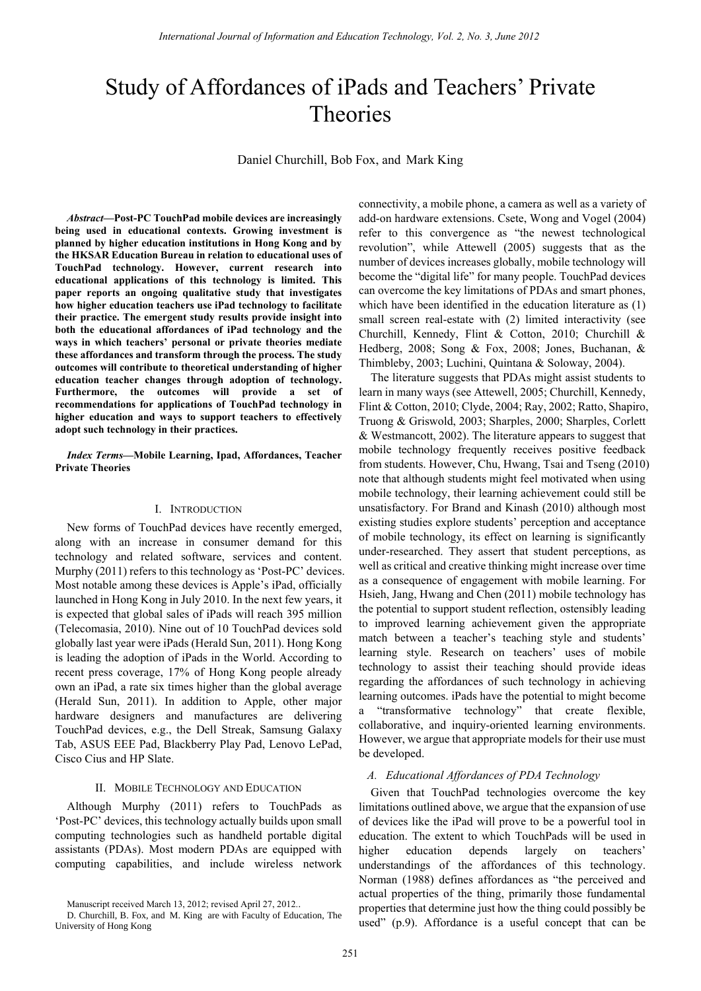# Study of Affordances of iPads and Teachers' Private Theories

Daniel Churchill, Bob Fox, and Mark King

*Abstract***—Post-PC TouchPad mobile devices are increasingly being used in educational contexts. Growing investment is planned by higher education institutions in Hong Kong and by the HKSAR Education Bureau in relation to educational uses of TouchPad technology. However, current research into educational applications of this technology is limited. This paper reports an ongoing qualitative study that investigates how higher education teachers use iPad technology to facilitate their practice. The emergent study results provide insight into both the educational affordances of iPad technology and the ways in which teachers' personal or private theories mediate these affordances and transform through the process. The study outcomes will contribute to theoretical understanding of higher education teacher changes through adoption of technology. Furthermore, the outcomes will provide a set of recommendations for applications of TouchPad technology in higher education and ways to support teachers to effectively adopt such technology in their practices.** 

### *Index Terms***—Mobile Learning, Ipad, Affordances, Teacher Private Theories**

### I. INTRODUCTION

New forms of TouchPad devices have recently emerged, along with an increase in consumer demand for this technology and related software, services and content. Murphy (2011) refers to this technology as 'Post-PC' devices. Most notable among these devices is Apple's iPad, officially launched in Hong Kong in July 2010. In the next few years, it is expected that global sales of iPads will reach 395 million (Telecomasia, 2010). Nine out of 10 TouchPad devices sold globally last year were iPads (Herald Sun, 2011). Hong Kong is leading the adoption of iPads in the World. According to recent press coverage, 17% of Hong Kong people already own an iPad, a rate six times higher than the global average (Herald Sun, 2011). In addition to Apple, other major hardware designers and manufactures are delivering TouchPad devices, e.g., the Dell Streak, Samsung Galaxy Tab, ASUS EEE Pad, Blackberry Play Pad, Lenovo LePad, Cisco Cius and HP Slate.

#### II. MOBILE TECHNOLOGY AND EDUCATION

Although Murphy (2011) refers to TouchPads as 'Post-PC' devices, this technology actually builds upon small computing technologies such as handheld portable digital assistants (PDAs). Most modern PDAs are equipped with computing capabilities, and include wireless network

Manuscript received March 13, 2012; revised April 27, 2012..

connectivity, a mobile phone, a camera as well as a variety of add-on hardware extensions. Csete, Wong and Vogel (2004) refer to this convergence as "the newest technological revolution", while Attewell (2005) suggests that as the number of devices increases globally, mobile technology will become the "digital life" for many people. TouchPad devices can overcome the key limitations of PDAs and smart phones, which have been identified in the education literature as (1) small screen real-estate with (2) limited interactivity (see Churchill, Kennedy, Flint & Cotton, 2010; Churchill & Hedberg, 2008; Song & Fox, 2008; Jones, Buchanan, & Thimbleby, 2003; Luchini, Quintana & Soloway, 2004).

The literature suggests that PDAs might assist students to learn in many ways (see Attewell, 2005; Churchill, Kennedy, Flint & Cotton, 2010; Clyde, 2004; Ray, 2002; Ratto, Shapiro, Truong & Griswold, 2003; Sharples, 2000; Sharples, Corlett & Westmancott, 2002). The literature appears to suggest that mobile technology frequently receives positive feedback from students. However, Chu, Hwang, Tsai and Tseng (2010) note that although students might feel motivated when using mobile technology, their learning achievement could still be unsatisfactory. For Brand and Kinash (2010) although most existing studies explore students' perception and acceptance of mobile technology, its effect on learning is significantly under-researched. They assert that student perceptions, as well as critical and creative thinking might increase over time as a consequence of engagement with mobile learning. For Hsieh, Jang, Hwang and Chen (2011) mobile technology has the potential to support student reflection, ostensibly leading to improved learning achievement given the appropriate match between a teacher's teaching style and students' learning style. Research on teachers' uses of mobile technology to assist their teaching should provide ideas regarding the affordances of such technology in achieving learning outcomes. iPads have the potential to might become "transformative technology" that create flexible, collaborative, and inquiry-oriented learning environments. However, we argue that appropriate models for their use must be developed.

### *A. Educational Affordances of PDA Technology*

Given that TouchPad technologies overcome the key limitations outlined above, we argue that the expansion of use of devices like the iPad will prove to be a powerful tool in education. The extent to which TouchPads will be used in higher education depends largely on teachers' understandings of the affordances of this technology. Norman (1988) defines affordances as "the perceived and actual properties of the thing, primarily those fundamental properties that determine just how the thing could possibly be used" (p.9). Affordance is a useful concept that can be

D. Churchill, B. Fox, and M. King are with Faculty of Education, The University of Hong Kong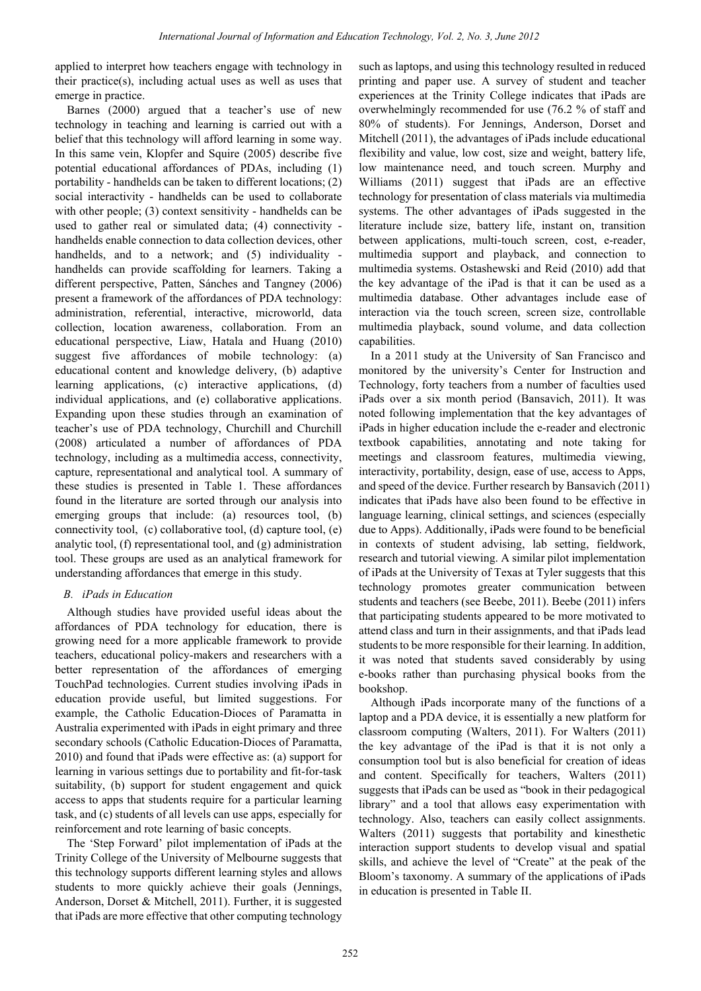applied to interpret how teachers engage with technology in their practice(s), including actual uses as well as uses that emerge in practice.

Barnes (2000) argued that a teacher's use of new technology in teaching and learning is carried out with a belief that this technology will afford learning in some way. In this same vein, Klopfer and Squire (2005) describe five potential educational affordances of PDAs, including (1) portability - handhelds can be taken to different locations; (2) social interactivity - handhelds can be used to collaborate with other people; (3) context sensitivity - handhelds can be used to gather real or simulated data; (4) connectivity handhelds enable connection to data collection devices, other handhelds, and to a network; and (5) individuality handhelds can provide scaffolding for learners. Taking a different perspective, Patten, Sánches and Tangney (2006) present a framework of the affordances of PDA technology: administration, referential, interactive, microworld, data collection, location awareness, collaboration. From an educational perspective, Liaw, Hatala and Huang (2010) suggest five affordances of mobile technology: (a) educational content and knowledge delivery, (b) adaptive learning applications, (c) interactive applications, (d) individual applications, and (e) collaborative applications. Expanding upon these studies through an examination of teacher's use of PDA technology, Churchill and Churchill (2008) articulated a number of affordances of PDA technology, including as a multimedia access, connectivity, capture, representational and analytical tool. A summary of these studies is presented in Table 1. These affordances found in the literature are sorted through our analysis into emerging groups that include: (a) resources tool, (b) connectivity tool, (c) collaborative tool, (d) capture tool, (e) analytic tool, (f) representational tool, and (g) administration tool. These groups are used as an analytical framework for understanding affordances that emerge in this study.

# *B. iPads in Education*

Although studies have provided useful ideas about the affordances of PDA technology for education, there is growing need for a more applicable framework to provide teachers, educational policy-makers and researchers with a better representation of the affordances of emerging TouchPad technologies. Current studies involving iPads in education provide useful, but limited suggestions. For example, the Catholic Education-Dioces of Paramatta in Australia experimented with iPads in eight primary and three secondary schools (Catholic Education-Dioces of Paramatta, 2010) and found that iPads were effective as: (a) support for learning in various settings due to portability and fit-for-task suitability, (b) support for student engagement and quick access to apps that students require for a particular learning task, and (c) students of all levels can use apps, especially for reinforcement and rote learning of basic concepts.

The 'Step Forward' pilot implementation of iPads at the Trinity College of the University of Melbourne suggests that this technology supports different learning styles and allows students to more quickly achieve their goals (Jennings, Anderson, Dorset & Mitchell, 2011). Further, it is suggested that iPads are more effective that other computing technology such as laptops, and using this technology resulted in reduced printing and paper use. A survey of student and teacher experiences at the Trinity College indicates that iPads are overwhelmingly recommended for use (76.2 % of staff and 80% of students). For Jennings, Anderson, Dorset and Mitchell (2011), the advantages of iPads include educational flexibility and value, low cost, size and weight, battery life, low maintenance need, and touch screen. Murphy and Williams (2011) suggest that iPads are an effective technology for presentation of class materials via multimedia systems. The other advantages of iPads suggested in the literature include size, battery life, instant on, transition between applications, multi-touch screen, cost, e-reader, multimedia support and playback, and connection to multimedia systems. Ostashewski and Reid (2010) add that the key advantage of the iPad is that it can be used as a multimedia database. Other advantages include ease of interaction via the touch screen, screen size, controllable multimedia playback, sound volume, and data collection capabilities.

In a 2011 study at the University of San Francisco and monitored by the university's Center for Instruction and Technology, forty teachers from a number of faculties used iPads over a six month period (Bansavich, 2011). It was noted following implementation that the key advantages of iPads in higher education include the e-reader and electronic textbook capabilities, annotating and note taking for meetings and classroom features, multimedia viewing, interactivity, portability, design, ease of use, access to Apps, and speed of the device. Further research by Bansavich (2011) indicates that iPads have also been found to be effective in language learning, clinical settings, and sciences (especially due to Apps). Additionally, iPads were found to be beneficial in contexts of student advising, lab setting, fieldwork, research and tutorial viewing. A similar pilot implementation of iPads at the University of Texas at Tyler suggests that this technology promotes greater communication between students and teachers (see Beebe, 2011). Beebe (2011) infers that participating students appeared to be more motivated to attend class and turn in their assignments, and that iPads lead students to be more responsible for their learning. In addition, it was noted that students saved considerably by using e-books rather than purchasing physical books from the bookshop.

Although iPads incorporate many of the functions of a laptop and a PDA device, it is essentially a new platform for classroom computing (Walters, 2011). For Walters (2011) the key advantage of the iPad is that it is not only a consumption tool but is also beneficial for creation of ideas and content. Specifically for teachers, Walters (2011) suggests that iPads can be used as "book in their pedagogical library" and a tool that allows easy experimentation with technology. Also, teachers can easily collect assignments. Walters (2011) suggests that portability and kinesthetic interaction support students to develop visual and spatial skills, and achieve the level of "Create" at the peak of the Bloom's taxonomy. A summary of the applications of iPads in education is presented in Table II.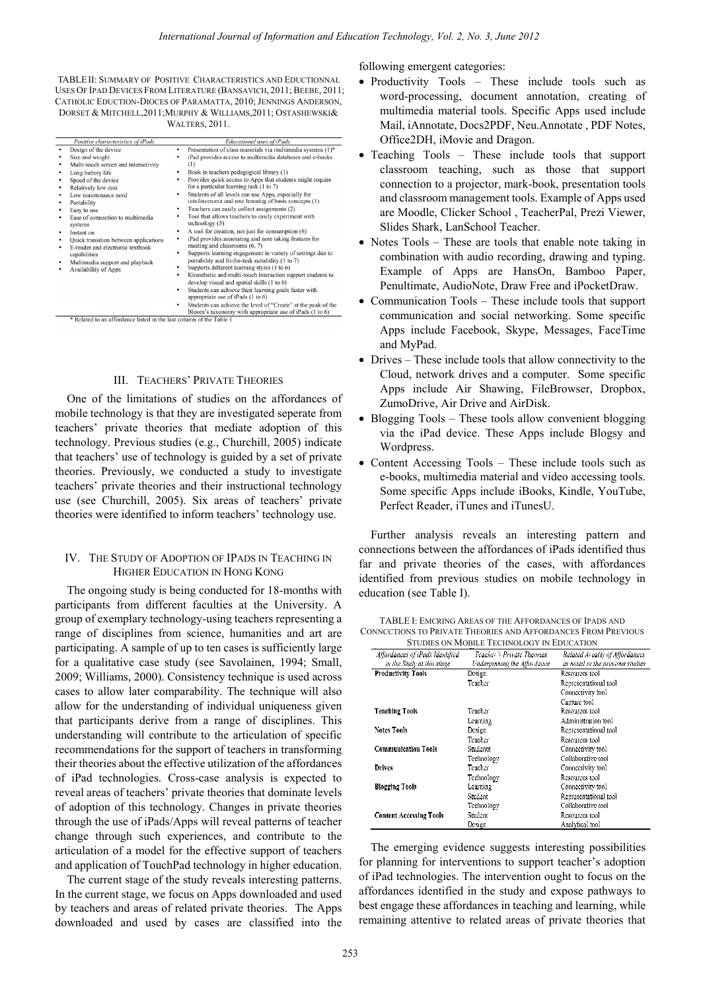TABLE II: SUMMARY OF POSITIVE CHARACTERISTICS AND EDUCTIONNAL USES OF IPAD DEVICES FROM LITERATURE (BANSAVICH, 2011; BEEBE, 2011; CATHOLIC EDUCTION-DIOCES OF PARAMATTA, 2010; JENNINGS ANDERSON, DORSET & MITCHELL,2011;MURPHY & WILLIAMS,2011; OSTASHEWSKI& WALTERS, 2011.

| Positive characteristics of iPads |                                                                                                                                                                                                                                                                                                                                                                                                                                      | <b>Educational uses of iPads</b>                                                                                                                                                                                                                                                                                                                                                                                                                                                                                                                                                                                                                                                                                                                                                                                                                                                                                                                                                                                                                                                                                                                                                                                                                   |  |
|-----------------------------------|--------------------------------------------------------------------------------------------------------------------------------------------------------------------------------------------------------------------------------------------------------------------------------------------------------------------------------------------------------------------------------------------------------------------------------------|----------------------------------------------------------------------------------------------------------------------------------------------------------------------------------------------------------------------------------------------------------------------------------------------------------------------------------------------------------------------------------------------------------------------------------------------------------------------------------------------------------------------------------------------------------------------------------------------------------------------------------------------------------------------------------------------------------------------------------------------------------------------------------------------------------------------------------------------------------------------------------------------------------------------------------------------------------------------------------------------------------------------------------------------------------------------------------------------------------------------------------------------------------------------------------------------------------------------------------------------------|--|
| ٠<br>٠<br>٠<br>٠                  | Design of the device<br>Size and weight<br>Multi-touch screen and interactivity<br>Long battery life<br>Speed of the device<br>Relatively low cost<br>Low maintenance need<br>Portability<br>Easy to use<br>Ease of connection to multimedia<br>systems<br>Instant on<br>Quick transition between applications<br>E-reader and electronic textbook<br>capabilities<br>Multimedia support and playback<br><b>Availability of Apps</b> | Presentation of class materials via multimedia systems (1)*<br>٠<br>iPad provides access to multimedia databases and e-books<br>٠<br>(1)<br>Book in teachers pedagogical library (1)<br>٠<br>Provides quick access to Apps that students might require<br>٠<br>for a particular learning task (1 to 7)<br>Students of all levels can use Apps, especially for<br>٠<br>reinforcement and rote learning of basic concepts (1)<br>Teachers can easily collect assignments (2)<br>٠<br>Tool that allows teachers to easily experiment with<br>٠<br>technology(5)<br>A tool for creation, not just for consumption (6)<br>٠<br>iPad provides annotating and note taking features for<br>٠<br>meeting and classrooms (6, 7)<br>Supports learning engagement in variety of settings due to<br>portability and fit-for-task suitability (1 to 7)<br>Supports different learning styles (1 to 6)<br>٠<br>Kinesthetic and multi-touch interaction support students to<br>٠<br>develop visual and spatial skills (1 to 6)<br>Students can achieve their learning goals faster with<br>٠<br>appropriate use of iPads (1 to 6)<br>Students can achieve the level of "Create" at the peak of the<br>٠<br>Bloom's taxonomy with appropriate use of iPads (1 to 6) |  |

## III. TEACHERS' PRIVATE THEORIES

One of the limitations of studies on the affordances of mobile technology is that they are investigated seperate from teachers' private theories that mediate adoption of this technology. Previous studies (e.g., Churchill, 2005) indicate that teachers' use of technology is guided by a set of private theories. Previously, we conducted a study to investigate teachers' private theories and their instructional technology use (see Churchill, 2005). Six areas of teachers' private theories were identified to inform teachers' technology use.

## IV. THE STUDY OF ADOPTION OF IPADS IN TEACHING IN HIGHER EDUCATION IN HONG KONG

The ongoing study is being conducted for 18-months with participants from different faculties at the University. A group of exemplary technology-using teachers representing a range of disciplines from science, humanities and art are participating. A sample of up to ten cases is sufficiently large for a qualitative case study (see Savolainen, 1994; Small, 2009; Williams, 2000). Consistency technique is used across cases to allow later comparability. The technique will also allow for the understanding of individual uniqueness given that participants derive from a range of disciplines. This understanding will contribute to the articulation of specific recommendations for the support of teachers in transforming their theories about the effective utilization of the affordances of iPad technologies. Cross-case analysis is expected to reveal areas of teachers' private theories that dominate levels of adoption of this technology. Changes in private theories through the use of iPads/Apps will reveal patterns of teacher change through such experiences, and contribute to the articulation of a model for the effective support of teachers and application of TouchPad technology in higher education.

The current stage of the study reveals interesting patterns. In the current stage, we focus on Apps downloaded and used by teachers and areas of related private theories. The Apps downloaded and used by cases are classified into the following emergent categories:

- Productivity Tools These include tools such as word-processing, document annotation, creating of multimedia material tools. Specific Apps used include Mail, iAnnotate, Docs2PDF, Neu.Annotate , PDF Notes, Office2DH, iMovie and Dragon.
- Teaching Tools These include tools that support classroom teaching, such as those that support connection to a projector, mark-book, presentation tools and classroom management tools. Example of Apps used are Moodle, Clicker School , TeacherPal, Prezi Viewer, Slides Shark, LanSchool Teacher.
- Notes Tools These are tools that enable note taking in combination with audio recording, drawing and typing. Example of Apps are HansOn, Bamboo Paper, Penultimate, AudioNote, Draw Free and iPocketDraw.
- Communication Tools These include tools that support communication and social networking. Some specific Apps include Facebook, Skype, Messages, FaceTime and MyPad.
- Drives These include tools that allow connectivity to the Cloud, network drives and a computer. Some specific Apps include Air Shawing, FileBrowser, Dropbox, ZumoDrive, Air Drive and AirDisk.
- Blogging Tools These tools allow convenient blogging via the iPad device. These Apps include Blogsy and Wordpress.
- Content Accessing Tools These include tools such as e-books, multimedia material and video accessing tools. Some specific Apps include iBooks, Kindle, YouTube, Perfect Reader, iTunes and iTunesU.

Further analysis reveals an interesting pattern and connections between the affordances of iPads identified thus far and private theories of the cases, with affordances identified from previous studies on mobile technology in education (see Table I).

| TABLE I: EMCRING AREAS OF THE AFFORDANCES OF IPADS AND        |
|---------------------------------------------------------------|
| CONNCCTIONS TO PRIVATE THEORIES AND AFFORDANCES FROM PREVIOUS |
| STUDIES ON MOBILE TECHNOLOGY IN EDUCATION                     |

| STUDIES ON MOBILE TECHNOLOGY IN EDUCATION                     |                                                            |                                                                    |  |  |
|---------------------------------------------------------------|------------------------------------------------------------|--------------------------------------------------------------------|--|--|
| Affordances of iPads Identified<br>in the Study at this stage | Teacher's Private Theories.<br>Underpinning the Affordance | Related Area(s) of Affordances<br>as noted in the previous studies |  |  |
| Productivity Tools                                            | Design                                                     | Resources tool                                                     |  |  |
|                                                               | Teacher                                                    | Representational tool                                              |  |  |
|                                                               |                                                            | Connectivity tool                                                  |  |  |
|                                                               |                                                            | Canture tool                                                       |  |  |
| <b>Teaching Tools</b>                                         | Teacher                                                    | Resources tool                                                     |  |  |
|                                                               | Learning                                                   | Administration tool                                                |  |  |
| <b>Notes Tools</b>                                            | Design                                                     | Representational tool                                              |  |  |
|                                                               | Teacher                                                    | Resources tool                                                     |  |  |
| <b>Communication Tools</b>                                    | Students                                                   | Connectivity tool                                                  |  |  |
|                                                               | Technology                                                 | Collaborative tool                                                 |  |  |
| Drives                                                        | Teacher                                                    | Connectivity tool                                                  |  |  |
|                                                               | Technology                                                 | Resources tool                                                     |  |  |
| <b>Blogging Tools</b>                                         | Learning                                                   | Connectivity tool                                                  |  |  |
|                                                               | Student                                                    | Representational tool                                              |  |  |
|                                                               | Technology                                                 | Collaborative tool                                                 |  |  |
| <b>Content Accessing Tools</b>                                | Student                                                    | Resources tool                                                     |  |  |
|                                                               | Design                                                     | Analytical tool                                                    |  |  |

The emerging evidence suggests interesting possibilities for planning for interventions to support teacher's adoption of iPad technologies. The intervention ought to focus on the affordances identified in the study and expose pathways to best engage these affordances in teaching and learning, while remaining attentive to related areas of private theories that